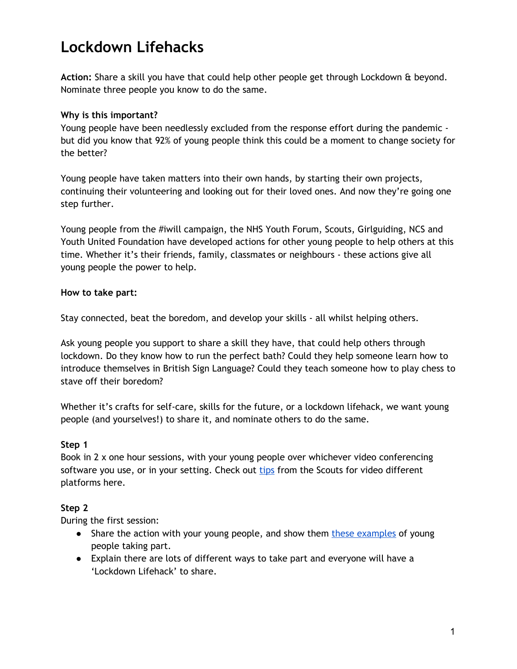# **Lockdown Lifehacks**

**Action:** Share a skill you have that could help other people get through Lockdown & beyond. Nominate three people you know to do the same.

### **Why is this important?**

Young people have been needlessly excluded from the response effort during the pandemic but did you know that 92% of young people think this could be a moment to change society for the better?

Young people have taken matters into their own hands, by starting their own projects, continuing their volunteering and looking out for their loved ones. And now they're going one step further.

Young people from the #iwill campaign, the NHS Youth Forum, Scouts, Girlguiding, NCS and Youth United Foundation have developed actions for other young people to help others at this time. Whether it's their friends, family, classmates or neighbours - these actions give all young people the power to help.

### **How to take part:**

Stay connected, beat the boredom, and develop your skills - all whilst helping others.

Ask young people you support to share a skill they have, that could help others through lockdown. Do they know how to run the perfect bath? Could they help someone learn how to introduce themselves in British Sign Language? Could they teach someone how to play chess to stave off their boredom?

Whether it's crafts for self-care, skills for the future, or a lockdown lifehack, we want young people (and yourselves!) to share it, and nominate others to do the same.

### **Step 1**

Book in 2 x one hour sessions, with your young people over whichever video conferencing software you use, or in your setting. Check out [tips](https://www.scouts.org.uk/volunteers/scouts-at-home/taking-scouts-online/digital-platforms-for-scouts/) from the Scouts for video different platforms here.

### **Step 2**

During the first session:

- Share the action with your young people, and show them these [examples](http://powerofyouth.iwill.org.uk/lockdown-lifehacks#inspo) of young people taking part.
- Explain there are lots of different ways to take part and everyone will have a 'Lockdown Lifehack' to share.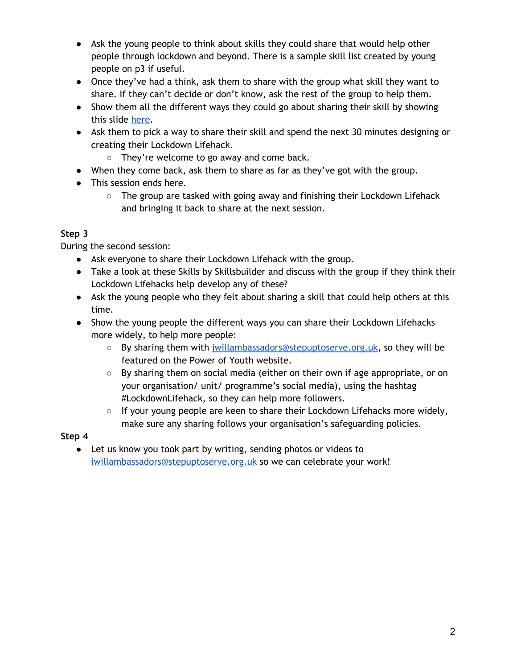- Ask the young people to think about skills they could share that would help other people through lockdown and beyond. There is a sample skill list created by young people on p3 if useful.
- Once they've had a think, ask them to share with the group what skill they want to share. If they can't decide or don't know, ask the rest of the group to help them.
- Show them all the different ways they could go about sharing their skill by showing this slide [here.](http://powerofyouth.iwill.org.uk/wp-content/uploads/2020/07/IMPACT-REPORT-HISTORIANS-1.png)
- Ask them to pick a way to share their skill and spend the next 30 minutes designing or creating their Lockdown Lifehack.
	- They're welcome to go away and come back.
- When they come back, ask them to share as far as they've got with the group.
- This session ends here.
	- $\circ$  The group are tasked with going away and finishing their Lockdown Lifehack and bringing it back to share at the next session.

## **Step 3**

During the second session:

- Ask everyone to share their Lockdown Lifehack with the group.
- Take a look at these Skills by Skillsbuilder and discuss with the group if they think their Lockdown Lifehacks help develop any of these?
- Ask the young people who they felt about sharing a skill that could help others at this time.
- Show the young people the different ways you can share their Lockdown Lifehacks more widely, to help more people:
	- By sharing them with [iwillambassadors@stepuptoserve.org.uk,](mailto:iwillambassadors@stepuptoserve.org.uk) so they will be featured on the Power of Youth website.
	- $\circ$  By sharing them on social media (either on their own if age appropriate, or on your organisation/ unit/ programme's social media), using the hashtag #LockdownLifehack, so they can help more followers.
	- $\circ$  If your young people are keen to share their Lockdown Lifehacks more widely, make sure any sharing follows your organisation's safeguarding policies.

## **Step 4**

● Let us know you took part by writing, sending photos or videos to [iwillambassadors@stepuptoserve.org.uk](mailto:iwillambassadors@stepuptoserve.org.uk) so we can celebrate your work!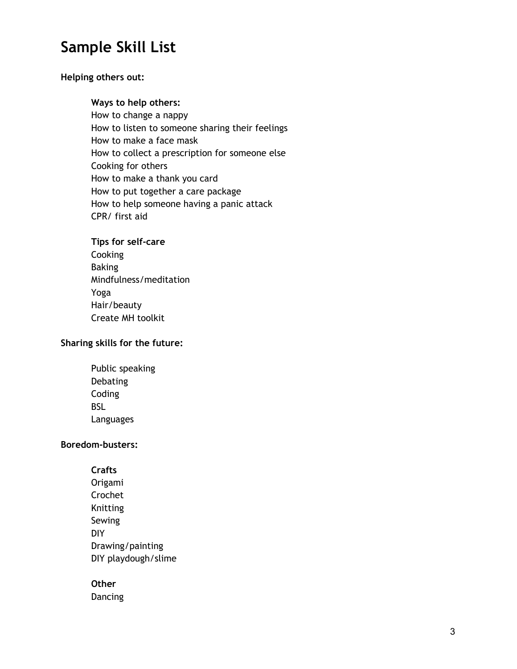## **Sample Skill List**

### **Helping others out:**

### **Ways to help others:**

How to change a nappy How to listen to someone sharing their feelings How to make a face mask How to collect a prescription for someone else Cooking for others How to make a thank you card How to put together a care package How to help someone having a panic attack CPR/ first aid

### **Tips for self-care** Cooking Baking Mindfulness/meditation Yoga Hair/beauty Create MH toolkit

### **Sharing skills for the future:**

Public speaking Debating Coding BSL Languages

### **Boredom-busters:**

**Crafts** Origami Crochet Knitting Sewing DIY Drawing/painting DIY playdough/slime

### **Other**

Dancing